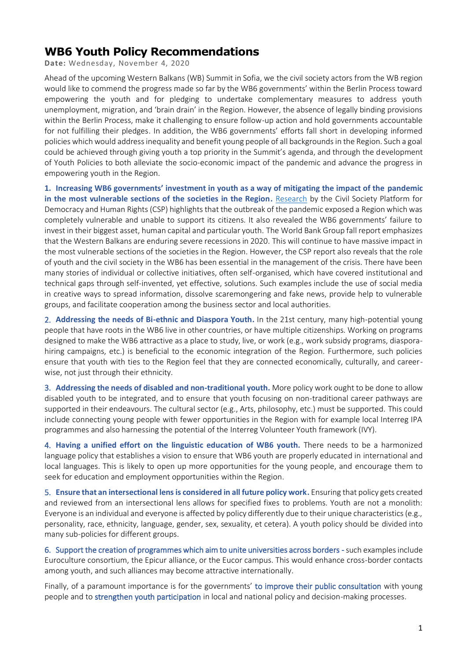## **WB6 Youth Policy Recommendations**

**Date:** Wednesday, November 4, 2020

Ahead of the upcoming Western Balkans (WB) Summit in Sofia, we the civil society actors from the WB region would like to commend the progress made so far by the WB6 governments' within the Berlin Process toward empowering the youth and for pledging to undertake complementary measures to address youth unemployment, migration, and 'brain drain' in the Region. However, the absence of legally binding provisions within the Berlin Process, make it challenging to ensure follow-up action and hold governments accountable for not fulfilling their pledges. In addition, the WB6 governments' efforts fall short in developing informed policies which would address inequality and benefit young people of all backgrounds in the Region. Such a goal could be achieved through giving youth a top priority in the Summit's agenda, and through the development of Youth Policies to both alleviate the socio-economic impact of the pandemic and advance the progress in empowering youth in the Region.

**1. Increasing WB6 governments' investment in youth as a way of mitigating the impact of the pandemic in the most vulnerable sections of the societies in the Region.** [Research](https://thebalkanforum.org/en/berlin-process-overview-of-the-progress-by-the-six-western-balkans-countries-since-london-and-poznan-summits) by the Civil Society Platform for Democracy and Human Rights (CSP) highlights that the outbreak of the pandemic exposed a Region which was completely vulnerable and unable to support its citizens. It also revealed the WB6 governments' failure to invest in their biggest asset, human capital and particular youth. The World Bank Group fall report emphasizes that the Western Balkans are enduring severe recessions in 2020. This will continue to have massive impact in the most vulnerable sections of the societies in the Region. However, the CSP report also reveals that the role of youth and the civil society in the WB6 has been essential in the management of the crisis. There have been many stories of individual or collective initiatives, often self-organised, which have covered institutional and technical gaps through self-invented, yet effective, solutions. Such examples include the use of social media in creative ways to spread information, dissolve scaremongering and fake news, provide help to vulnerable groups, and facilitate cooperation among the business sector and local authorities.

2. **Addressing the needs of Bi-ethnic and Diaspora Youth.** In the 21st century, many high-potential young people that have roots in the WB6 live in other countries, or have multiple citizenships. Working on programs designed to make the WB6 attractive as a place to study, live, or work (e.g., work subsidy programs, diasporahiring campaigns, etc.) is beneficial to the economic integration of the Region. Furthermore, such policies ensure that youth with ties to the Region feel that they are connected economically, culturally, and careerwise, not just through their ethnicity.

3. **Addressing the needs of disabled and non-traditional youth.** More policy work ought to be done to allow disabled youth to be integrated, and to ensure that youth focusing on non-traditional career pathways are supported in their endeavours. The cultural sector (e.g., Arts, philosophy, etc.) must be supported. This could include connecting young people with fewer opportunities in the Region with for example local Interreg IPA programmes and also harnessing the potential of the Interreg Volunteer Youth framework (IVY).

4. **Having a unified effort on the linguistic education of WB6 youth.** There needs to be a harmonized language policy that establishes a vision to ensure that WB6 youth are properly educated in international and local languages. This is likely to open up more opportunities for the young people, and encourage them to seek for education and employment opportunities within the Region.

5. **Ensure that an intersectional lens is considered in all future policy work.** Ensuring that policy gets created and reviewed from an intersectional lens allows for specified fixes to problems. Youth are not a monolith: Everyone is an individual and everyone is affected by policy differently due to their unique characteristics (e.g., personality, race, ethnicity, language, gender, sex, sexuality, et cetera). A youth policy should be divided into many sub-policies for different groups.

6. Support the creation of programmes which aim to unite universities across borders - such examples include Euroculture consortium, the Epicur alliance, or the Eucor campus. This would enhance cross-border contacts among youth, and such alliances may become attractive internationally.

Finally, of a paramount importance is for the governments' to improve their public consultation with young people and to strengthen youth participation in local and national policy and decision-making processes.